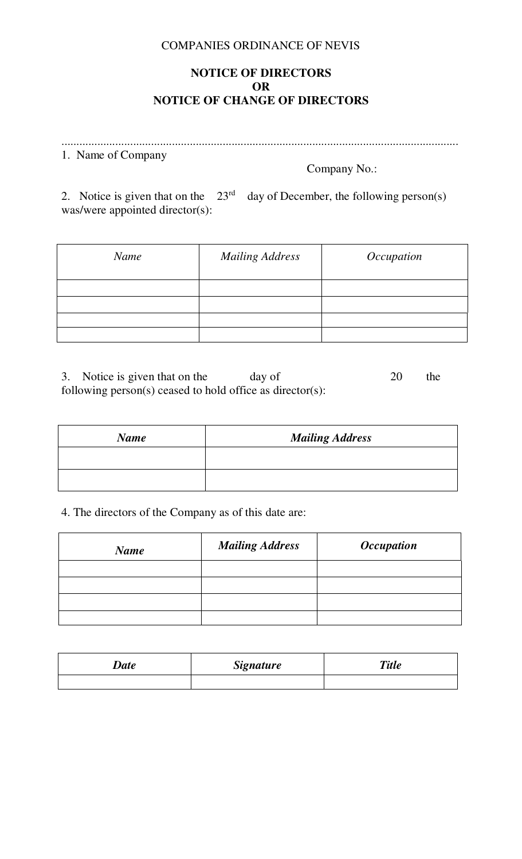#### COMPANIES ORDINANCE OF NEVIS

## **NOTICE OF DIRECTORS OR NOTICE OF CHANGE OF DIRECTORS**

..................................................................................................................................... 1. Name of Company

Company No.:

2. Notice is given that on the  $23<sup>rd</sup>$  day of December, the following person(s) was/were appointed director(s):

| Name | <b>Mailing Address</b> | Occupation |
|------|------------------------|------------|
|      |                        |            |
|      |                        |            |
|      |                        |            |
|      |                        |            |

3. Notice is given that on the day of 20 the following person(s) ceased to hold office as director(s):

| <b>Name</b> | <b>Mailing Address</b> |  |
|-------------|------------------------|--|
|             |                        |  |
|             |                        |  |

## 4. The directors of the Company as of this date are:

| <b>Name</b> | <b>Mailing Address</b> | <i><b>Occupation</b></i> |
|-------------|------------------------|--------------------------|
|             |                        |                          |
|             |                        |                          |
|             |                        |                          |
|             |                        |                          |

| $\Delta$ <i>Date</i> | <b>Signature</b> | <b>Title</b> |
|----------------------|------------------|--------------|
|                      |                  |              |